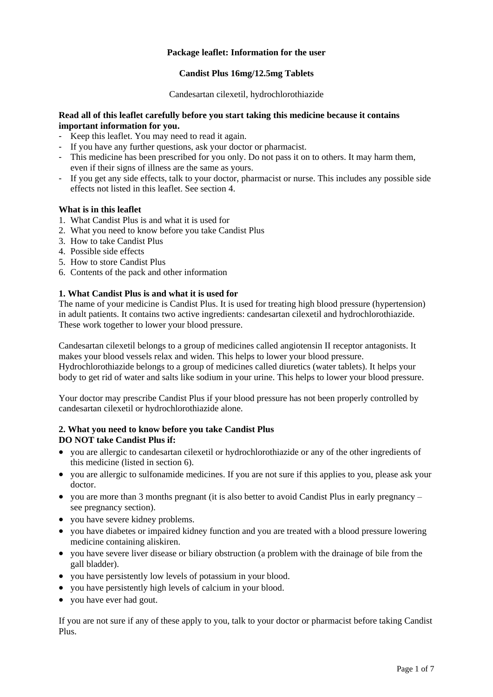# **Package leaflet: Information for the user**

## **Candist Plus 16mg/12.5mg Tablets**

Candesartan cilexetil, hydrochlorothiazide

#### **Read all of this leaflet carefully before you start taking this medicine because it contains important information for you.**

- Keep this leaflet. You may need to read it again.
- If you have any further questions, ask your doctor or pharmacist.
- This medicine has been prescribed for you only. Do not pass it on to others. It may harm them, even if their signs of illness are the same as yours.
- If you get any side effects, talk to your doctor, pharmacist or nurse. This includes any possible side effects not listed in this leaflet. See section 4.

#### **What is in this leaflet**

- 1. What Candist Plus is and what it is used for
- 2. What you need to know before you take Candist Plus
- 3. How to take Candist Plus
- 4. Possible side effects
- 5. How to store Candist Plus
- 6. Contents of the pack and other information

# **1. What Candist Plus is and what it is used for**

The name of your medicine is Candist Plus. It is used for treating high blood pressure (hypertension) in adult patients. It contains two active ingredients: candesartan cilexetil and hydrochlorothiazide. These work together to lower your blood pressure.

Candesartan cilexetil belongs to a group of medicines called angiotensin II receptor antagonists. It makes your blood vessels relax and widen. This helps to lower your blood pressure. Hydrochlorothiazide belongs to a group of medicines called diuretics (water tablets). It helps your body to get rid of water and salts like sodium in your urine. This helps to lower your blood pressure.

Your doctor may prescribe Candist Plus if your blood pressure has not been properly controlled by candesartan cilexetil or hydrochlorothiazide alone.

# **2. What you need to know before you take Candist Plus DO NOT take Candist Plus if:**

- you are allergic to candesartan cilexetil or hydrochlorothiazide or any of the other ingredients of this medicine (listed in section 6).
- you are allergic to sulfonamide medicines. If you are not sure if this applies to you, please ask your doctor.
- vou are more than 3 months pregnant (it is also better to avoid Candist Plus in early pregnancy  $$ see pregnancy section).
- you have severe kidney problems.
- you have diabetes or impaired kidney function and you are treated with a blood pressure lowering medicine containing aliskiren.
- you have severe liver disease or biliary obstruction (a problem with the drainage of bile from the gall bladder).
- you have persistently low levels of potassium in your blood.
- vou have persistently high levels of calcium in your blood.
- you have ever had gout.

If you are not sure if any of these apply to you, talk to your doctor or pharmacist before taking Candist Plus.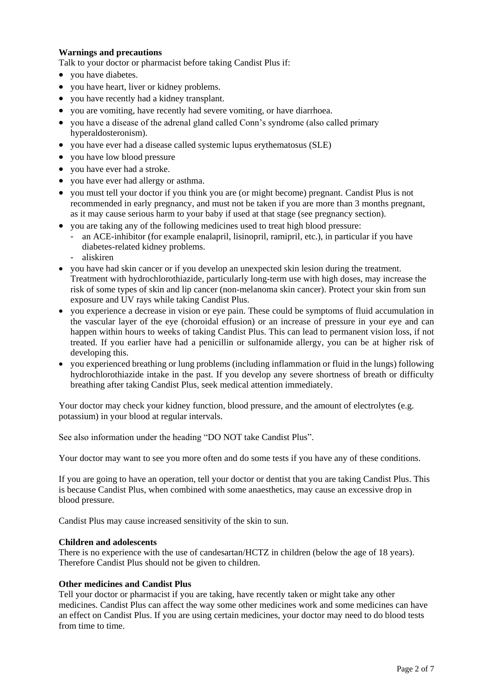## **Warnings and precautions**

Talk to your doctor or pharmacist before taking Candist Plus if:

- vou have diabetes.
- you have heart, liver or kidney problems.
- you have recently had a kidney transplant.
- you are vomiting, have recently had severe vomiting, or have diarrhoea.
- you have a disease of the adrenal gland called Conn's syndrome (also called primary hyperaldosteronism).
- you have ever had a disease called systemic lupus erythematosus (SLE)
- you have low blood pressure
- you have ever had a stroke.
- vou have ever had allergy or asthma.
- you must tell your doctor if you think you are (or might become) pregnant. Candist Plus is not recommended in early pregnancy, and must not be taken if you are more than 3 months pregnant, as it may cause serious harm to your baby if used at that stage (see pregnancy section).
- you are taking any of the following medicines used to treat high blood pressure:
	- an ACE-inhibitor (for example enalapril, lisinopril, ramipril, etc.), in particular if you have diabetes-related kidney problems.
	- aliskiren
- you have had skin cancer or if you develop an unexpected skin lesion during the treatment. Treatment with hydrochlorothiazide, particularly long-term use with high doses, may increase the risk of some types of skin and lip cancer (non-melanoma skin cancer). Protect your skin from sun exposure and UV rays while taking Candist Plus.
- you experience a decrease in vision or eye pain. These could be symptoms of fluid accumulation in the vascular layer of the eye (choroidal effusion) or an increase of pressure in your eye and can happen within hours to weeks of taking Candist Plus. This can lead to permanent vision loss, if not treated. If you earlier have had a penicillin or sulfonamide allergy, you can be at higher risk of developing this.
- you experienced breathing or lung problems (including inflammation or fluid in the lungs) following hydrochlorothiazide intake in the past. If you develop any severe shortness of breath or difficulty breathing after taking Candist Plus, seek medical attention immediately.

Your doctor may check your kidney function, blood pressure, and the amount of electrolytes (e.g. potassium) in your blood at regular intervals.

See also information under the heading "DO NOT take Candist Plus".

Your doctor may want to see you more often and do some tests if you have any of these conditions.

If you are going to have an operation, tell your doctor or dentist that you are taking Candist Plus. This is because Candist Plus, when combined with some anaesthetics, may cause an excessive drop in blood pressure.

Candist Plus may cause increased sensitivity of the skin to sun.

#### **Children and adolescents**

There is no experience with the use of candesartan/HCTZ in children (below the age of 18 years). Therefore Candist Plus should not be given to children.

# **Other medicines and Candist Plus**

Tell your doctor or pharmacist if you are taking, have recently taken or might take any other medicines. Candist Plus can affect the way some other medicines work and some medicines can have an effect on Candist Plus. If you are using certain medicines, your doctor may need to do blood tests from time to time.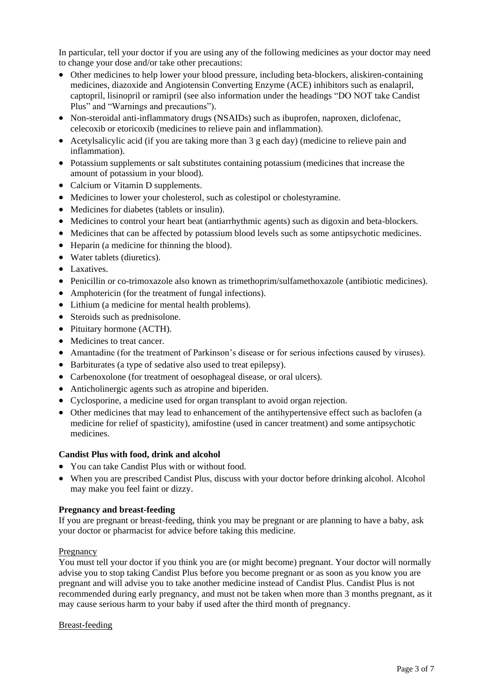In particular, tell your doctor if you are using any of the following medicines as your doctor may need to change your dose and/or take other precautions:

- Other medicines to help lower your blood pressure, including beta-blockers, aliskiren-containing medicines, diazoxide and Angiotensin Converting Enzyme (ACE) inhibitors such as enalapril, captopril, lisinopril or ramipril (see also information under the headings "DO NOT take Candist Plus" and "Warnings and precautions").
- Non-steroidal anti-inflammatory drugs (NSAIDs) such as ibuprofen, naproxen, diclofenac, celecoxib or etoricoxib (medicines to relieve pain and inflammation).
- Acetylsalicylic acid (if you are taking more than 3 g each day) (medicine to relieve pain and inflammation).
- Potassium supplements or salt substitutes containing potassium (medicines that increase the amount of potassium in your blood).
- Calcium or Vitamin D supplements.
- Medicines to lower your cholesterol, such as colestipol or cholestyramine.
- Medicines for diabetes (tablets or insulin).
- Medicines to control your heart beat (antiarrhythmic agents) such as digoxin and beta-blockers.
- Medicines that can be affected by potassium blood levels such as some antipsychotic medicines.
- Heparin (a medicine for thinning the blood).
- Water tablets (diuretics).
- Laxatives.
- Penicillin or co-trimoxazole also known as trimethoprim/sulfamethoxazole (antibiotic medicines).
- Amphotericin (for the treatment of fungal infections).
- Lithium (a medicine for mental health problems).
- Steroids such as prednisolone.
- Pituitary hormone (ACTH).
- Medicines to treat cancer.
- Amantadine (for the treatment of Parkinson's disease or for serious infections caused by viruses).
- Barbiturates (a type of sedative also used to treat epilepsy).
- Carbenoxolone (for treatment of oesophageal disease, or oral ulcers).
- Anticholinergic agents such as atropine and biperiden.
- Cyclosporine, a medicine used for organ transplant to avoid organ rejection.
- Other medicines that may lead to enhancement of the antihypertensive effect such as baclofen (a medicine for relief of spasticity), amifostine (used in cancer treatment) and some antipsychotic medicines.

#### **Candist Plus with food, drink and alcohol**

- You can take Candist Plus with or without food.
- When you are prescribed Candist Plus, discuss with your doctor before drinking alcohol. Alcohol may make you feel faint or dizzy.

#### **Pregnancy and breast-feeding**

If you are pregnant or breast-feeding, think you may be pregnant or are planning to have a baby, ask your doctor or pharmacist for advice before taking this medicine.

#### Pregnancy

You must tell your doctor if you think you are (or might become) pregnant. Your doctor will normally advise you to stop taking Candist Plus before you become pregnant or as soon as you know you are pregnant and will advise you to take another medicine instead of Candist Plus. Candist Plus is not recommended during early pregnancy, and must not be taken when more than 3 months pregnant, as it may cause serious harm to your baby if used after the third month of pregnancy.

#### Breast-feeding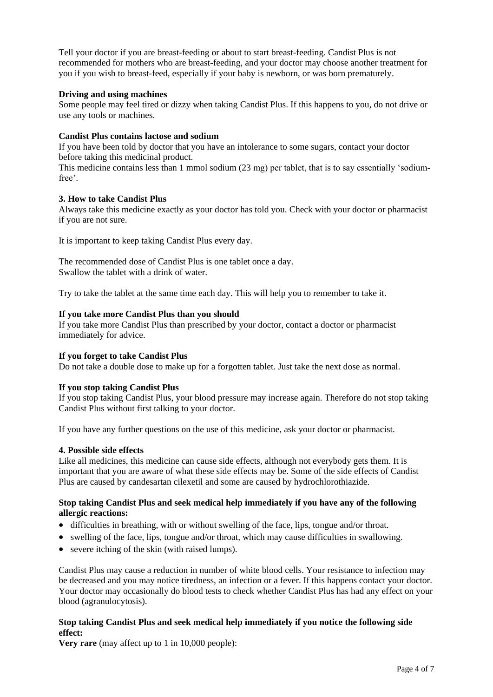Tell your doctor if you are breast-feeding or about to start breast-feeding. Candist Plus is not recommended for mothers who are breast-feeding, and your doctor may choose another treatment for you if you wish to breast-feed, especially if your baby is newborn, or was born prematurely.

## **Driving and using machines**

Some people may feel tired or dizzy when taking Candist Plus. If this happens to you, do not drive or use any tools or machines.

## **Candist Plus contains lactose and sodium**

If you have been told by doctor that you have an intolerance to some sugars, contact your doctor before taking this medicinal product.

This medicine contains less than 1 mmol sodium (23 mg) per tablet, that is to say essentially 'sodiumfree'.

#### **3. How to take Candist Plus**

Always take this medicine exactly as your doctor has told you. Check with your doctor or pharmacist if you are not sure.

It is important to keep taking Candist Plus every day.

The recommended dose of Candist Plus is one tablet once a day. Swallow the tablet with a drink of water.

Try to take the tablet at the same time each day. This will help you to remember to take it.

#### **If you take more Candist Plus than you should**

If you take more Candist Plus than prescribed by your doctor, contact a doctor or pharmacist immediately for advice.

#### **If you forget to take Candist Plus**

Do not take a double dose to make up for a forgotten tablet. Just take the next dose as normal.

#### **If you stop taking Candist Plus**

If you stop taking Candist Plus, your blood pressure may increase again. Therefore do not stop taking Candist Plus without first talking to your doctor.

If you have any further questions on the use of this medicine, ask your doctor or pharmacist.

#### **4. Possible side effects**

Like all medicines, this medicine can cause side effects, although not everybody gets them. It is important that you are aware of what these side effects may be. Some of the side effects of Candist Plus are caused by candesartan cilexetil and some are caused by hydrochlorothiazide.

## **Stop taking Candist Plus and seek medical help immediately if you have any of the following allergic reactions:**

- difficulties in breathing, with or without swelling of the face, lips, tongue and/or throat.
- swelling of the face, lips, tongue and/or throat, which may cause difficulties in swallowing.
- severe itching of the skin (with raised lumps).

Candist Plus may cause a reduction in number of white blood cells. Your resistance to infection may be decreased and you may notice tiredness, an infection or a fever. If this happens contact your doctor. Your doctor may occasionally do blood tests to check whether Candist Plus has had any effect on your blood (agranulocytosis).

# **Stop taking Candist Plus and seek medical help immediately if you notice the following side effect:**

**Very rare** (may affect up to 1 in 10,000 people):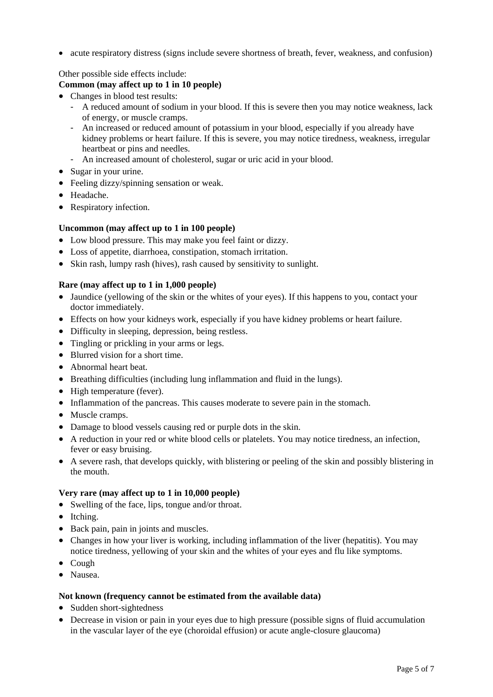• acute respiratory distress (signs include severe shortness of breath, fever, weakness, and confusion)

# Other possible side effects include:

# **Common (may affect up to 1 in 10 people)**

- Changes in blood test results:
	- A reduced amount of sodium in your blood. If this is severe then you may notice weakness, lack of energy, or muscle cramps.
	- An increased or reduced amount of potassium in your blood, especially if you already have kidney problems or heart failure. If this is severe, you may notice tiredness, weakness, irregular heartbeat or pins and needles.
	- An increased amount of cholesterol, sugar or uric acid in your blood.
- Sugar in your urine.
- Feeling dizzy/spinning sensation or weak.
- Headache.
- Respiratory infection.

#### **Uncommon (may affect up to 1 in 100 people)**

- Low blood pressure. This may make you feel faint or dizzy.
- Loss of appetite, diarrhoea, constipation, stomach irritation.
- Skin rash, lumpy rash (hives), rash caused by sensitivity to sunlight.

#### **Rare (may affect up to 1 in 1,000 people)**

- Jaundice (yellowing of the skin or the whites of your eyes). If this happens to you, contact your doctor immediately.
- Effects on how your kidneys work, especially if you have kidney problems or heart failure.
- Difficulty in sleeping, depression, being restless.
- Tingling or prickling in your arms or legs.
- Blurred vision for a short time.
- Abnormal heart beat.
- Breathing difficulties (including lung inflammation and fluid in the lungs).
- High temperature (fever).
- Inflammation of the pancreas. This causes moderate to severe pain in the stomach.
- Muscle cramps.
- Damage to blood vessels causing red or purple dots in the skin.
- A reduction in your red or white blood cells or platelets. You may notice tiredness, an infection, fever or easy bruising.
- A severe rash, that develops quickly, with blistering or peeling of the skin and possibly blistering in the mouth.

#### **Very rare (may affect up to 1 in 10,000 people)**

- Swelling of the face, lips, tongue and/or throat.
- Itching.
- Back pain, pain in joints and muscles.
- Changes in how your liver is working, including inflammation of the liver (hepatitis). You may notice tiredness, yellowing of your skin and the whites of your eyes and flu like symptoms.
- Cough
- Nausea.

#### **Not known (frequency cannot be estimated from the available data)**

- Sudden short-sightedness
- Decrease in vision or pain in your eyes due to high pressure (possible signs of fluid accumulation in the vascular layer of the eye (choroidal effusion) or acute angle-closure glaucoma)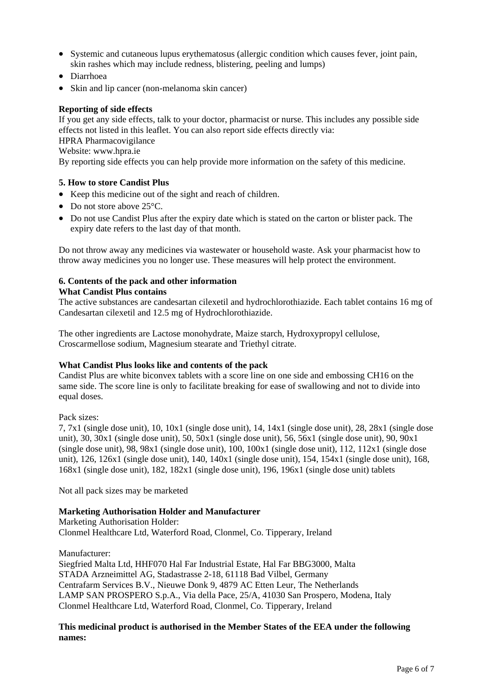- Systemic and cutaneous lupus erythematosus (allergic condition which causes fever, joint pain, skin rashes which may include redness, blistering, peeling and lumps)
- Diarrhoea
- Skin and lip cancer (non-melanoma skin cancer)

## **Reporting of side effects**

If you get any side effects, talk to your doctor, pharmacist or nurse. This includes any possible side effects not listed in this leaflet. You can also report side effects directly via: HPRA Pharmacovigilance

Website: [www.hpra.ie](http://www.hpra.ie/)

By reporting side effects you can help provide more information on the safety of this medicine.

#### **5. How to store Candist Plus**

- Keep this medicine out of the sight and reach of children.
- Do not store above 25 °C.
- Do not use Candist Plus after the expiry date which is stated on the carton or blister pack. The expiry date refers to the last day of that month.

Do not throw away any medicines via wastewater or household waste. Ask your pharmacist how to throw away medicines you no longer use. These measures will help protect the environment.

# **6. Contents of the pack and other information**

#### **What Candist Plus contains**

The active substances are candesartan cilexetil and hydrochlorothiazide. Each tablet contains 16 mg of Candesartan cilexetil and 12.5 mg of Hydrochlorothiazide.

The other ingredients are Lactose monohydrate, Maize starch, Hydroxypropyl cellulose, Croscarmellose sodium, Magnesium stearate and Triethyl citrate.

#### **What Candist Plus looks like and contents of the pack**

Candist Plus are white biconvex tablets with a score line on one side and embossing CH16 on the same side. The score line is only to facilitate breaking for ease of swallowing and not to divide into equal doses.

Pack sizes:

7, 7x1 (single dose unit), 10, 10x1 (single dose unit), 14, 14x1 (single dose unit), 28, 28x1 (single dose unit), 30, 30x1 (single dose unit), 50, 50x1 (single dose unit), 56, 56x1 (single dose unit), 90, 90x1 (single dose unit), 98, 98 $x1$  (single dose unit), 100, 100 $x1$  (single dose unit), 112, 112 $x1$  (single dose unit), 126, 126x1 (single dose unit), 140, 140x1 (single dose unit), 154, 154x1 (single dose unit), 168, 168x1 (single dose unit), 182, 182x1 (single dose unit), 196, 196x1 (single dose unit) tablets

Not all pack sizes may be marketed

#### **Marketing Authorisation Holder and Manufacturer**

Marketing Authorisation Holder:

Clonmel Healthcare Ltd, Waterford Road, Clonmel, Co. Tipperary, Ireland

Manufacturer:

Siegfried Malta Ltd, HHF070 Hal Far Industrial Estate, Hal Far BBG3000, Malta STADA Arzneimittel AG, Stadastrasse 2-18, 61118 Bad Vilbel, Germany Centrafarm Services B.V., Nieuwe Donk 9, 4879 AC Etten Leur, The Netherlands LAMP SAN PROSPERO S.p.A., Via della Pace, 25/A, 41030 San Prospero, Modena, Italy Clonmel Healthcare Ltd, Waterford Road, Clonmel, Co. Tipperary, Ireland

# **This medicinal product is authorised in the Member States of the EEA under the following names:**